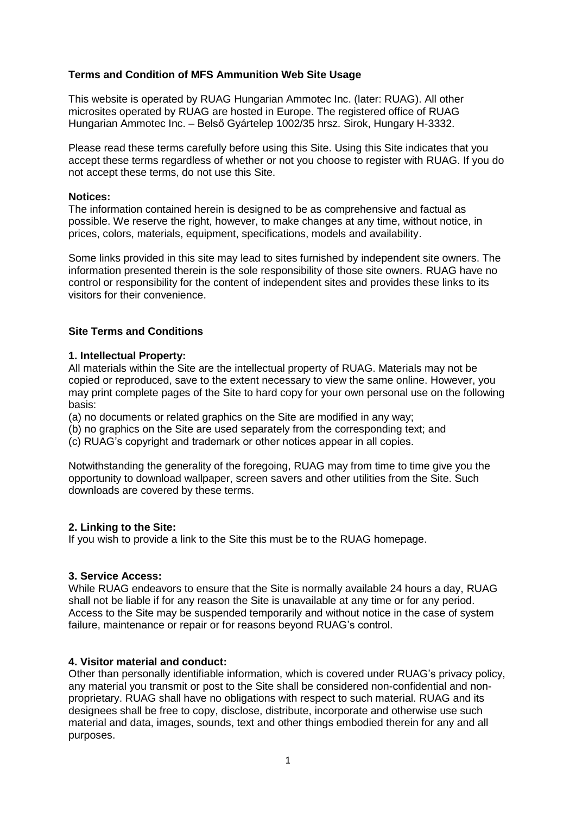# **Terms and Condition of MFS Ammunition Web Site Usage**

This website is operated by RUAG Hungarian Ammotec Inc. (later: RUAG). All other microsites operated by RUAG are hosted in Europe. The registered office of RUAG Hungarian Ammotec Inc. – Belső Gyártelep 1002/35 hrsz. Sirok, Hungary H-3332.

Please read these terms carefully before using this Site. Using this Site indicates that you accept these terms regardless of whether or not you choose to register with RUAG. If you do not accept these terms, do not use this Site.

### **Notices:**

The information contained herein is designed to be as comprehensive and factual as possible. We reserve the right, however, to make changes at any time, without notice, in prices, colors, materials, equipment, specifications, models and availability.

Some links provided in this site may lead to sites furnished by independent site owners. The information presented therein is the sole responsibility of those site owners. RUAG have no control or responsibility for the content of independent sites and provides these links to its visitors for their convenience.

## **Site Terms and Conditions**

### **1. Intellectual Property:**

All materials within the Site are the intellectual property of RUAG. Materials may not be copied or reproduced, save to the extent necessary to view the same online. However, you may print complete pages of the Site to hard copy for your own personal use on the following basis:

(a) no documents or related graphics on the Site are modified in any way;

(b) no graphics on the Site are used separately from the corresponding text; and

(c) RUAG's copyright and trademark or other notices appear in all copies.

Notwithstanding the generality of the foregoing, RUAG may from time to time give you the opportunity to download wallpaper, screen savers and other utilities from the Site. Such downloads are covered by these terms.

## **2. Linking to the Site:**

If you wish to provide a link to the Site this must be to the RUAG homepage.

# **3. Service Access:**

While RUAG endeavors to ensure that the Site is normally available 24 hours a day, RUAG shall not be liable if for any reason the Site is unavailable at any time or for any period. Access to the Site may be suspended temporarily and without notice in the case of system failure, maintenance or repair or for reasons beyond RUAG's control.

# **4. Visitor material and conduct:**

Other than personally identifiable information, which is covered under RUAG's privacy policy, any material you transmit or post to the Site shall be considered non-confidential and nonproprietary. RUAG shall have no obligations with respect to such material. RUAG and its designees shall be free to copy, disclose, distribute, incorporate and otherwise use such material and data, images, sounds, text and other things embodied therein for any and all purposes.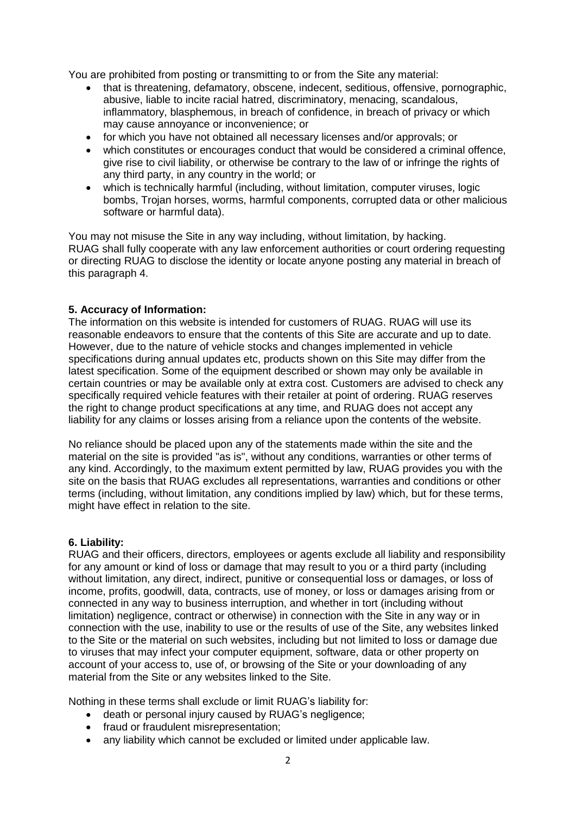You are prohibited from posting or transmitting to or from the Site any material:

- that is threatening, defamatory, obscene, indecent, seditious, offensive, pornographic, abusive, liable to incite racial hatred, discriminatory, menacing, scandalous, inflammatory, blasphemous, in breach of confidence, in breach of privacy or which may cause annoyance or inconvenience; or
- for which you have not obtained all necessary licenses and/or approvals; or
- which constitutes or encourages conduct that would be considered a criminal offence, give rise to civil liability, or otherwise be contrary to the law of or infringe the rights of any third party, in any country in the world; or
- which is technically harmful (including, without limitation, computer viruses, logic bombs, Trojan horses, worms, harmful components, corrupted data or other malicious software or harmful data).

You may not misuse the Site in any way including, without limitation, by hacking. RUAG shall fully cooperate with any law enforcement authorities or court ordering requesting or directing RUAG to disclose the identity or locate anyone posting any material in breach of this paragraph 4.

### **5. Accuracy of Information:**

The information on this website is intended for customers of RUAG. RUAG will use its reasonable endeavors to ensure that the contents of this Site are accurate and up to date. However, due to the nature of vehicle stocks and changes implemented in vehicle specifications during annual updates etc, products shown on this Site may differ from the latest specification. Some of the equipment described or shown may only be available in certain countries or may be available only at extra cost. Customers are advised to check any specifically required vehicle features with their retailer at point of ordering. RUAG reserves the right to change product specifications at any time, and RUAG does not accept any liability for any claims or losses arising from a reliance upon the contents of the website.

No reliance should be placed upon any of the statements made within the site and the material on the site is provided "as is", without any conditions, warranties or other terms of any kind. Accordingly, to the maximum extent permitted by law, RUAG provides you with the site on the basis that RUAG excludes all representations, warranties and conditions or other terms (including, without limitation, any conditions implied by law) which, but for these terms, might have effect in relation to the site.

#### **6. Liability:**

RUAG and their officers, directors, employees or agents exclude all liability and responsibility for any amount or kind of loss or damage that may result to you or a third party (including without limitation, any direct, indirect, punitive or consequential loss or damages, or loss of income, profits, goodwill, data, contracts, use of money, or loss or damages arising from or connected in any way to business interruption, and whether in tort (including without limitation) negligence, contract or otherwise) in connection with the Site in any way or in connection with the use, inability to use or the results of use of the Site, any websites linked to the Site or the material on such websites, including but not limited to loss or damage due to viruses that may infect your computer equipment, software, data or other property on account of your access to, use of, or browsing of the Site or your downloading of any material from the Site or any websites linked to the Site.

Nothing in these terms shall exclude or limit RUAG's liability for:

- death or personal injury caused by RUAG's negligence;
- fraud or fraudulent misrepresentation;
- any liability which cannot be excluded or limited under applicable law.